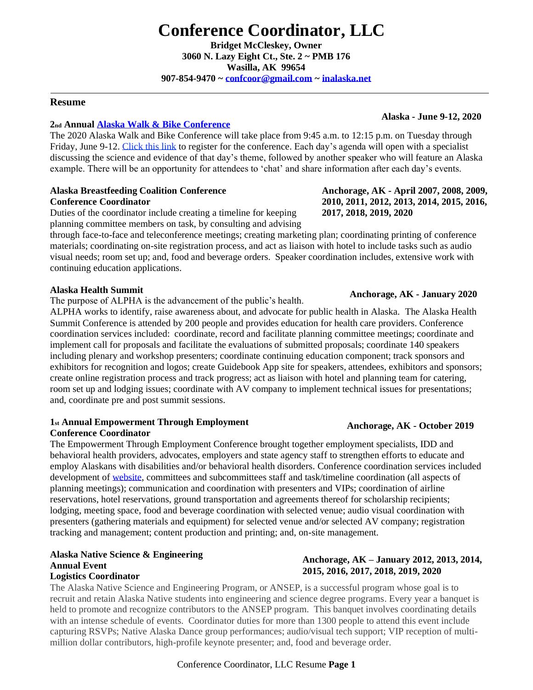**Bridget McCleskey, Owner 3060 N. Lazy Eight Ct., Ste. 2 ~ PMB 176 Wasilla, AK 99654 907-854-9470 ~ [confcoor@gmail.com](mailto:confcoor@gmail.com) ~ [inalaska.net](https://www.inalaska.net/)**

#### **Resume**

#### **2nd Annual [Alaska Walk & Bike Conference](https://walkbikealaska.org/)**

The [2020 Alaska Walk and Bike Conference](https://walkbikealaska.org/agenda/) will take place from 9:45 a.m. to 12:15 p.m. on Tuesday through Friday, June 9-12. [Click this link](https://zoom.us/webinar/register/WN_u_Hpx4yzQtK4khFeIX5BMg) to register for the conference. [Each day's agenda](https://walkbikealaska.org/agenda/) will open with a specialist discussing the science and evidence of that day's theme, followed by another speaker who will feature an Alaska example. There will be an opportunity for attendees to 'chat' and share information after each day's events.

#### **Alaska Breastfeeding Coalition Conference Conference Coordinator**

Duties of the coordinator include creating a timeline for keeping planning committee members on task, by consulting and advising

through face-to-face and teleconference meetings; creating marketing plan; coordinating printing of conference materials; coordinating on-site registration process, and act as liaison with hotel to include tasks such as audio visual needs; room set up; and, food and beverage orders. Speaker coordination includes, extensive work with continuing education applications.

#### **Alaska Health Summit**

The purpose of ALPHA is the advancement of the public's health.

ALPHA works to identify, raise awareness about, and advocate for public health in Alaska. The Alaska Health Summit Conference is attended by 200 people and provides education for health care providers. Conference coordination services included: coordinate, record and facilitate planning committee meetings; coordinate and implement call for proposals and facilitate the evaluations of submitted proposals; coordinate 140 speakers including plenary and workshop presenters; coordinate continuing education component; track sponsors and exhibitors for recognition and logos; create Guidebook App site for speakers, attendees, exhibitors and sponsors; create online registration process and track progress; act as liaison with hotel and planning team for catering, room set up and lodging issues; coordinate with AV company to implement technical issues for presentations; and, coordinate pre and post summit sessions.

#### **1st Annual Empowerment Through Employment**

#### **Conference Coordinator**

The Empowerment Through Employment Conference brought together employment specialists, IDD and behavioral health providers, advocates, employers and state agency staff to strengthen efforts to educate and employ Alaskans with disabilities and/or behavioral health disorders. Conference coordination services included development of [website,](https://www.employmentfirstak.com/) committees and subcommittees staff and task/timeline coordination (all aspects of planning meetings); communication and coordination with presenters and VIPs; coordination of airline reservations, hotel reservations, ground transportation and agreements thereof for scholarship recipients; lodging, meeting space, food and beverage coordination with selected venue; audio visual coordination with presenters (gathering materials and equipment) for selected venue and/or selected AV company; registration tracking and management; content production and printing; and, on-site management.

# **Alaska Native Science & Engineering Annual Event**

#### **Logistics Coordinator**

The Alaska Native Science and Engineering Program, or ANSEP, is a successful program whose goal is to recruit and retain Alaska Native students into engineering and science degree programs. Every year a banquet is held to promote and recognize contributors to the ANSEP program. This banquet involves coordinating details with an intense schedule of events. Coordinator duties for more than 1300 people to attend this event include capturing RSVPs; Native Alaska Dance group performances; audio/visual tech support; VIP reception of multimillion dollar contributors, high-profile keynote presenter; and, food and beverage order.

#### Conference Coordinator, LLC Resume **Page 1**

# **Anchorage, AK - April 2007, 2008, 2009,**

**2010, 2011, 2012, 2013, 2014, 2015, 2016,** 

**2017, 2018, 2019, 2020**

**Alaska - June 9-12, 2020**

## **Anchorage, AK - January 2020**

# **Anchorage, AK - October 2019**

**Anchorage, AK – January 2012, 2013, 2014,** 

**2015, 2016, 2017, 2018, 2019, 2020**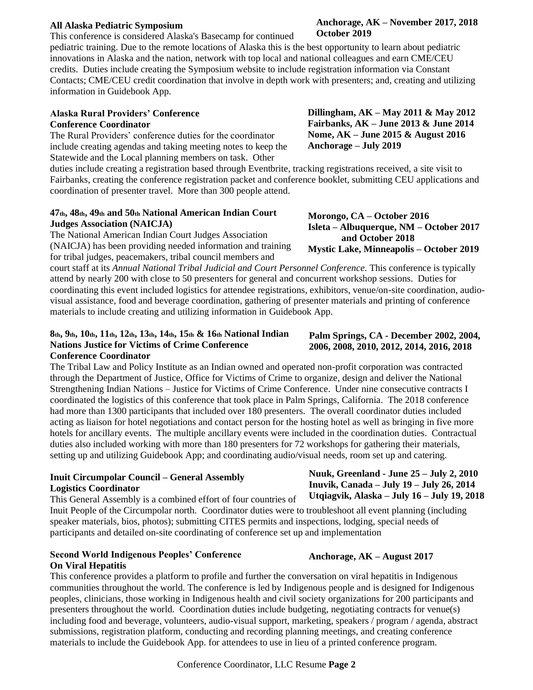#### **All Alaska Pediatric Symposium**

This conference is considered Alaska's Basecamp for continued

pediatric training. Due to the remote locations of Alaska this is the best opportunity to learn about pediatric innovations in Alaska and the nation, network with top local and national colleagues and earn CME/CEU credits. Duties include creating the Symposium website to include registration information via Constant Contacts; CME/CEU credit coordination that involve in depth work with presenters; and, creating and utilizing information in Guidebook App.

#### **Alaska Rural Providers' Conference Conference Coordinator**

The Rural Providers' conference duties for the coordinator include creating agendas and taking meeting notes to keep the Statewide and the Local planning members on task. Other

duties include creating a registration based through Eventbrite, tracking registrations received, a site visit to Fairbanks, creating the conference registration packet and conference booklet, submitting CEU applications and coordination of presenter travel. More than 300 people attend.

#### **47th, 48th, 49th and 50th National American Indian Court Judges Association (NAICJA)**

The National American Indian Court Judges Association (NAICJA) has been providing needed information and training for tribal judges, peacemakers, tribal council members and

court staff at its *Annual National Tribal Judicial and Court Personnel Conference.* This conference is typically attend by nearly 200 with close to 50 presenters for general and concurrent workshop sessions. Duties for coordinating this event included logistics for attendee registrations, exhibitors, venue/on-site coordination, audiovisual assistance, food and beverage coordination, gathering of presenter materials and printing of conference materials to include creating and utilizing information in Guidebook App.

#### **8th, 9th, 10th, 11th, 12th, 13th, 14th, 15th & 16th National Indian Nations Justice for Victims of Crime Conference Conference Coordinator**

The Tribal Law and Policy Institute as an Indian owned and operated non-profit corporation was contracted through the Department of Justice, Office for Victims of Crime to organize, design and deliver the National Strengthening Indian Nations – Justice for Victims of Crime Conference. Under nine consecutive contracts I coordinated the logistics of this conference that took place in Palm Springs, California. The 2018 conference had more than 1300 participants that included over 180 presenters. The overall coordinator duties included acting as liaison for hotel negotiations and contact person for the hosting hotel as well as bringing in five more hotels for ancillary events. The multiple ancillary events were included in the coordination duties. Contractual duties also included working with more than 180 presenters for 72 workshops for gathering their materials, setting up and utilizing Guidebook App; and coordinating audio/visual needs, room set up and catering.

#### **Inuit Circumpolar Council – General Assembly Logistics Coordinator**

This General Assembly is a combined effort of four countries of Inuit People of the Circumpolar north. Coordinator duties were to troubleshoot all event planning (including speaker materials, bios, photos); submitting CITES permits and inspections, lodging, special needs of participants and detailed on-site coordinating of conference set up and implementation **Utqiagvik, Alaska – July 16 – July 19, 2018**

#### **Second World Indigenous Peoples' Conference On Viral Hepatitis**

This conference provides a platform to profile and further the conversation on viral hepatitis in Indigenous communities throughout the world. The conference is led by Indigenous people and is designed for Indigenous peoples, clinicians, those working in Indigenous health and civil society organizations for 200 participants and presenters throughout the world. Coordination duties include budgeting, negotiating contracts for venue(s) including food and beverage, volunteers, audio-visual support, marketing, speakers / program / agenda, abstract submissions, registration platform, conducting and recording planning meetings, and creating conference materials to include the Guidebook App. for attendees to use in lieu of a printed conference program.

# **October 2019**

**Anchorage, AK – November 2017, 2018** 

**Dillingham, AK – May 2011 & May 2012 Fairbanks, AK – June 2013 & June 2014 Nome, AK – June 2015 & August 2016 Anchorage – July 2019**

**Isleta – Albuquerque, NM – October 2017**

**Mystic Lake, Minneapolis – October 2019**

**Morongo, CA – October 2016**

 **and October 2018**

**Palm Springs, CA - December 2002, 2004, 2006, 2008, 2010, 2012, 2014, 2016, 2018**

**Nuuk, Greenland - June 25 – July 2, 2010 Inuvik, Canada – July 19 – July 26, 2014**

# **Anchorage, AK – August 2017**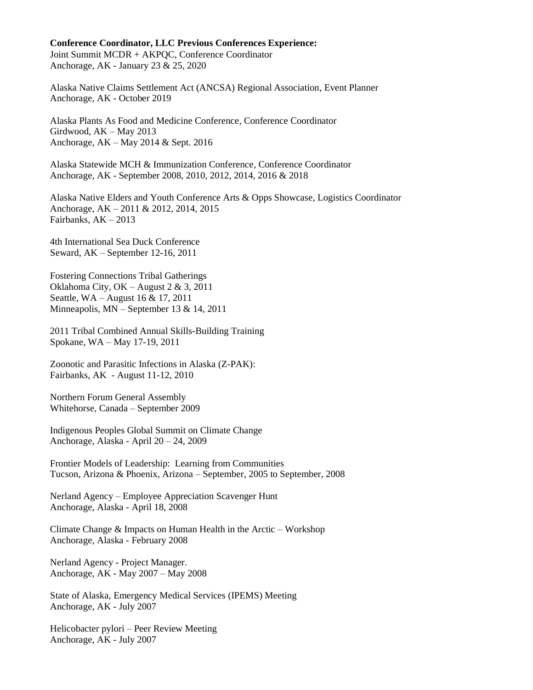#### **Conference Coordinator, LLC Previous Conferences Experience:**

Joint Summit MCDR + AKPQC, Conference Coordinator Anchorage, AK - January 23 & 25, 2020

Alaska Native Claims Settlement Act (ANCSA) Regional Association, Event Planner Anchorage, AK - October 2019

Alaska Plants As Food and Medicine Conference, Conference Coordinator Girdwood, AK – May 2013 Anchorage, AK – May 2014 & Sept. 2016

Alaska Statewide MCH & Immunization Conference, Conference Coordinator Anchorage, AK - September 2008, 2010, 2012, 2014, 2016 & 2018

Alaska Native Elders and Youth Conference Arts & Opps Showcase, Logistics Coordinator Anchorage, AK – 2011 & 2012, 2014, 2015 Fairbanks,  $AK - 2013$ 

4th International Sea Duck Conference Seward, AK – September 12-16, 2011

Fostering Connections Tribal Gatherings Oklahoma City, OK – August 2 & 3, 2011 Seattle, WA – August 16 & 17, 2011 Minneapolis, MN – September 13 & 14, 2011

2011 Tribal Combined Annual Skills-Building Training Spokane, WA – May 17-19, 2011

Zoonotic and Parasitic Infections in Alaska (Z-PAK): Fairbanks, AK - August 11-12, 2010

Northern Forum General Assembly Whitehorse, Canada – September 2009

Indigenous Peoples Global Summit on Climate Change Anchorage, Alaska - April 20 – 24, 2009

Frontier Models of Leadership: Learning from Communities Tucson, Arizona & Phoenix, Arizona – September, 2005 to September, 2008

Nerland Agency – Employee Appreciation Scavenger Hunt Anchorage, Alaska - April 18, 2008

Climate Change & Impacts on Human Health in the Arctic – Workshop Anchorage, Alaska - February 2008

Nerland Agency - Project Manager. Anchorage, AK - May 2007 – May 2008

State of Alaska, Emergency Medical Services (IPEMS) Meeting Anchorage, AK - July 2007

Helicobacter pylori – Peer Review Meeting Anchorage, AK - July 2007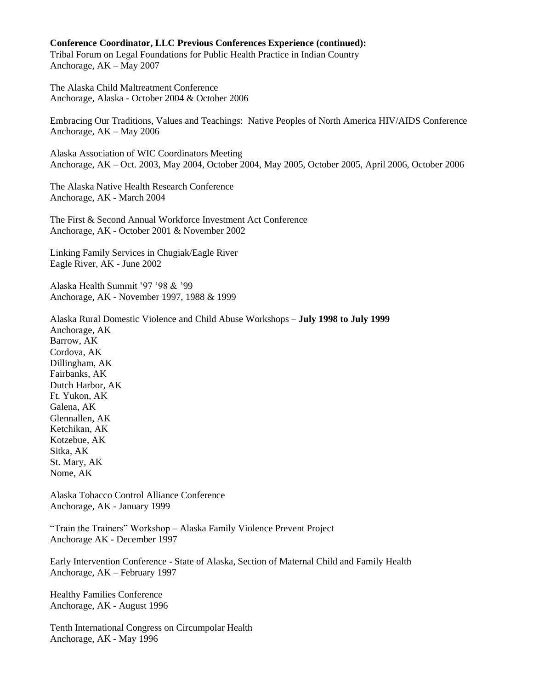#### **Conference Coordinator, LLC Previous Conferences Experience (continued):**

Tribal Forum on Legal Foundations for Public Health Practice in Indian Country Anchorage, AK – May 2007

The Alaska Child Maltreatment Conference Anchorage, Alaska - October 2004 & October 2006

Embracing Our Traditions, Values and Teachings: Native Peoples of North America HIV/AIDS Conference Anchorage, AK – May 2006

Alaska Association of WIC Coordinators Meeting Anchorage, AK – Oct. 2003, May 2004, October 2004, May 2005, October 2005, April 2006, October 2006

The Alaska Native Health Research Conference Anchorage, AK - March 2004

The First & Second Annual Workforce Investment Act Conference Anchorage, AK - October 2001 & November 2002

Linking Family Services in Chugiak/Eagle River Eagle River, AK - June 2002

Alaska Health Summit '97 '98 & '99 Anchorage, AK - November 1997, 1988 & 1999

Alaska Rural Domestic Violence and Child Abuse Workshops – **July 1998 to July 1999** Anchorage, AK Barrow, AK Cordova, AK Dillingham, AK Fairbanks, AK Dutch Harbor, AK Ft. Yukon, AK Galena, AK Glennallen, AK Ketchikan, AK Kotzebue, AK Sitka, AK St. Mary, AK Nome, AK

Alaska Tobacco Control Alliance Conference Anchorage, AK - January 1999

"Train the Trainers" Workshop – Alaska Family Violence Prevent Project Anchorage AK - December 1997

Early Intervention Conference - State of Alaska, Section of Maternal Child and Family Health Anchorage, AK – February 1997

Healthy Families Conference Anchorage, AK - August 1996

Tenth International Congress on Circumpolar Health Anchorage, AK - May 1996